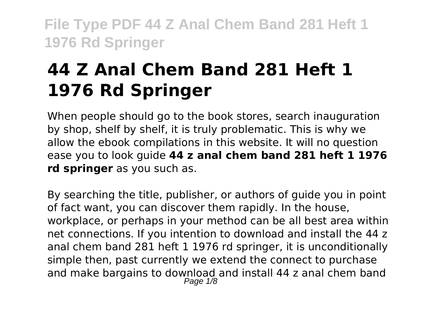# **44 Z Anal Chem Band 281 Heft 1 1976 Rd Springer**

When people should go to the book stores, search inauguration by shop, shelf by shelf, it is truly problematic. This is why we allow the ebook compilations in this website. It will no question ease you to look guide **44 z anal chem band 281 heft 1 1976 rd springer** as you such as.

By searching the title, publisher, or authors of guide you in point of fact want, you can discover them rapidly. In the house, workplace, or perhaps in your method can be all best area within net connections. If you intention to download and install the 44 z anal chem band 281 heft 1 1976 rd springer, it is unconditionally simple then, past currently we extend the connect to purchase and make bargains to download and install 44 z anal chem band Page  $1/8$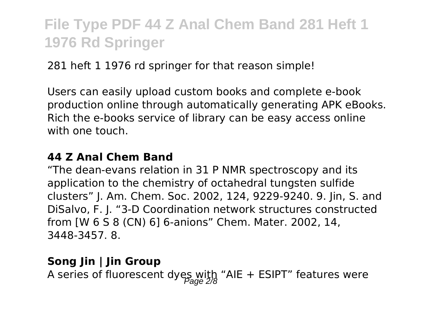281 heft 1 1976 rd springer for that reason simple!

Users can easily upload custom books and complete e-book production online through automatically generating APK eBooks. Rich the e-books service of library can be easy access online with one touch.

#### **44 Z Anal Chem Band**

"The dean-evans relation in 31 P NMR spectroscopy and its application to the chemistry of octahedral tungsten sulfide clusters" J. Am. Chem. Soc. 2002, 124, 9229-9240. 9. Jin, S. and DiSalvo, F. J. "3-D Coordination network structures constructed from [W 6 S 8 (CN) 6] 6-anions" Chem. Mater. 2002, 14, 3448-3457. 8.

### **Song Jin | Jin Group**

A series of fluorescent dyes with "AIE + ESIPT" features were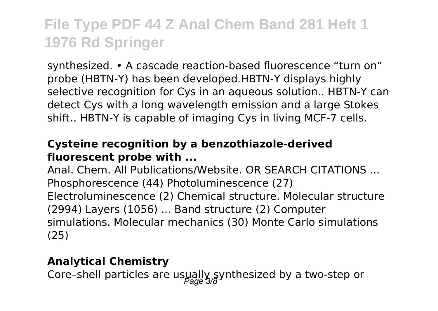synthesized. • A cascade reaction-based fluorescence "turn on" probe (HBTN-Y) has been developed.HBTN-Y displays highly selective recognition for Cys in an aqueous solution.. HBTN-Y can detect Cys with a long wavelength emission and a large Stokes shift.. HBTN-Y is capable of imaging Cys in living MCF-7 cells.

#### **Cysteine recognition by a benzothiazole-derived fluorescent probe with ...**

Anal. Chem. All Publications/Website. OR SEARCH CITATIONS ... Phosphorescence (44) Photoluminescence (27) Electroluminescence (2) Chemical structure. Molecular structure (2994) Layers (1056) ... Band structure (2) Computer simulations. Molecular mechanics (30) Monte Carlo simulations (25)

#### **Analytical Chemistry**

Core-shell particles are usually synthesized by a two-step or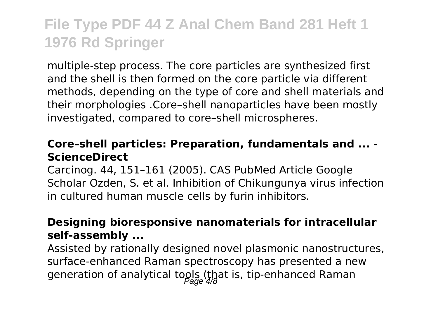multiple-step process. The core particles are synthesized first and the shell is then formed on the core particle via different methods, depending on the type of core and shell materials and their morphologies .Core–shell nanoparticles have been mostly investigated, compared to core–shell microspheres.

#### **Core–shell particles: Preparation, fundamentals and ... - ScienceDirect**

Carcinog. 44, 151–161 (2005). CAS PubMed Article Google Scholar Ozden, S. et al. Inhibition of Chikungunya virus infection in cultured human muscle cells by furin inhibitors.

#### **Designing bioresponsive nanomaterials for intracellular self-assembly ...**

Assisted by rationally designed novel plasmonic nanostructures, surface-enhanced Raman spectroscopy has presented a new generation of analytical tools (that is, tip-enhanced Raman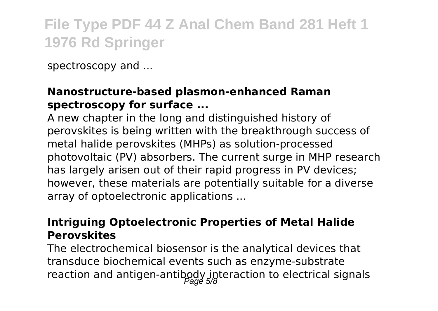spectroscopy and ...

### **Nanostructure-based plasmon-enhanced Raman spectroscopy for surface ...**

A new chapter in the long and distinguished history of perovskites is being written with the breakthrough success of metal halide perovskites (MHPs) as solution-processed photovoltaic (PV) absorbers. The current surge in MHP research has largely arisen out of their rapid progress in PV devices; however, these materials are potentially suitable for a diverse array of optoelectronic applications ...

#### **Intriguing Optoelectronic Properties of Metal Halide Perovskites**

The electrochemical biosensor is the analytical devices that transduce biochemical events such as enzyme-substrate reaction and antigen-antibody interaction to electrical signals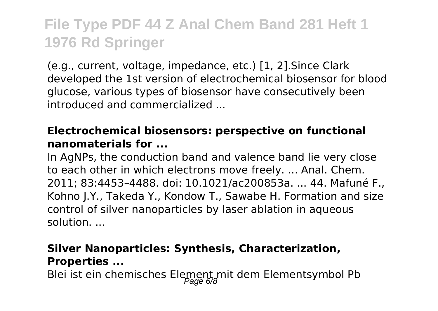(e.g., current, voltage, impedance, etc.) [1, 2].Since Clark developed the 1st version of electrochemical biosensor for blood glucose, various types of biosensor have consecutively been introduced and commercialized ...

### **Electrochemical biosensors: perspective on functional nanomaterials for ...**

In AgNPs, the conduction band and valence band lie very close to each other in which electrons move freely. ... Anal. Chem. 2011; 83:4453–4488. doi: 10.1021/ac200853a. ... 44. Mafuné F., Kohno J.Y., Takeda Y., Kondow T., Sawabe H. Formation and size control of silver nanoparticles by laser ablation in aqueous solution. ...

### **Silver Nanoparticles: Synthesis, Characterization, Properties ...**

Blei ist ein chemisches Element mit dem Elementsymbol Pb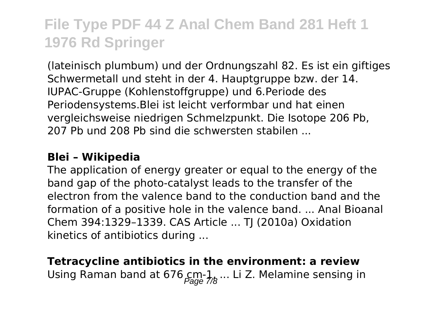(lateinisch plumbum) und der Ordnungszahl 82. Es ist ein giftiges Schwermetall und steht in der 4. Hauptgruppe bzw. der 14. IUPAC-Gruppe (Kohlenstoffgruppe) und 6.Periode des Periodensystems.Blei ist leicht verformbar und hat einen vergleichsweise niedrigen Schmelzpunkt. Die Isotope 206 Pb, 207 Pb und 208 Pb sind die schwersten stabilen ...

#### **Blei – Wikipedia**

The application of energy greater or equal to the energy of the band gap of the photo-catalyst leads to the transfer of the electron from the valence band to the conduction band and the formation of a positive hole in the valence band. ... Anal Bioanal Chem 394:1329–1339. CAS Article ... TJ (2010a) Oxidation kinetics of antibiotics during ...

### **Tetracycline antibiotics in the environment: a review** Using Raman band at 676  $\text{cm-1}_{\text{Page}}$ ... Li Z. Melamine sensing in